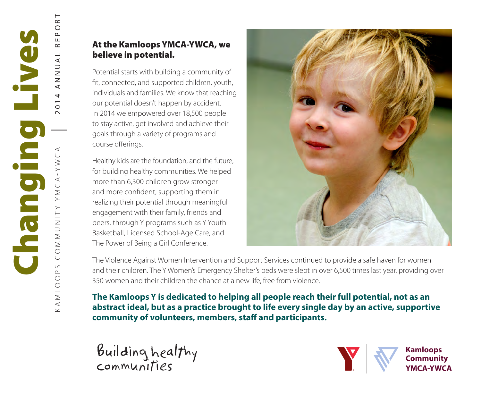# At the Kamloops YMCA-YWCA, we believe in potential.

Potential starts with building a community of fit, connected, and supported children, youth, individuals and families. We know that reaching our potential doesn't happen by accident. In 2014 we empowered over 18,500 people to stay active, get involved and achieve their goals through a variety of programs and course offerings.

Healthy kids are the foundation, and the future, for building healthy communities. We helped more than 6,300 children grow stronger and more confident, supporting them in realizing their potential through meaningful engagement with their family, friends and peers, through Y programs such as Y Youth Basketball, Licensed School-Age Care, and The Power of Being a Girl Conference.



The Violence Against Women Intervention and Support Services continued to provide a safe haven for women and their children. The Y Women's Emergency Shelter's beds were slept in over 6,500 times last year, providing over 350 women and their children the chance at a new life, free from violence.

**The Kamloops Y is dedicated to helping all people reach their full potential, not as an abstract ideal, but as a practice brought to life every single day by an active, supportive community of volunteers, members, staff and participants.**

Building healthy communities

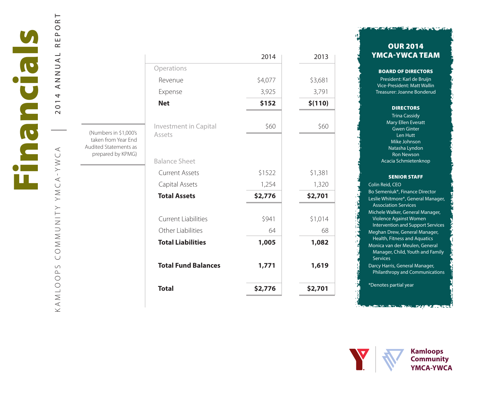$\prec$ KAMLOOPS COMMUNITY YMCA-YWCA YMCA-YWC NNUNUY  $\circ$  $\cup$  $\circ$  $\Delta$  $\circ$ NLO  $\prec$  $\vec{\times}$ 

2014 ANNUAL REPORT

 $\overline{R}$  $\circ$ 

 $\mathbf{\underline{\upalpha}}$ ш  $\simeq$  $\overline{\phantom{0}}$  $\prec$  $\frac{1}{2}$  $\overline{z}$  $\prec$  $\overline{\mathcal{L}}$  $\overline{0}$  $\sim$ 

> (Numbers in \$1,000's taken from Year End Audited Statements as prepared by KPMG)

|                                               | 2014    | 2013    |
|-----------------------------------------------|---------|---------|
| Operations                                    |         |         |
| Revenue                                       | \$4,077 | \$3,681 |
| Expense                                       | 3,925   | 3,791   |
| <b>Net</b>                                    | \$152   | \$(110) |
| <b>Investment in Capital</b><br>Assets        | \$60    | \$60    |
| <b>Balance Sheet</b><br><b>Current Assets</b> | \$1522  | \$1,381 |
| Capital Assets                                | 1,254   | 1,320   |
| <b>Total Assets</b>                           | \$2,776 | \$2,701 |
| <b>Current Liabilities</b>                    | \$941   | \$1,014 |
| Other Liabilities                             | 64      | 68      |
| <b>Total Liabilities</b>                      | 1,005   | 1,082   |
| <b>Total Fund Balances</b>                    | 1,771   | 1,619   |
| <b>Total</b>                                  | \$2,776 | \$2,701 |

## OUR 2014 YMCA-YWCA TEAM

**FUEL AND TAKE THE STILLE** 

## BOARD OF DIRECTORS

President: Karl de Bruijn Vice-President: Matt Wallin Treasurer: Joanne Bonderud

## **DIRECTORS**

Trina Cassidy Mary Ellen Everatt Gwen Ginter Len Hutt Mike Johnson Natasha Lyndon Ron Newson Acacia Schmietenknop

## SENIOR STAFF

Colin Reid, CEO Bo Semeniuk\*, Finance Director Leslie Whitmore\*, General Manager, Association Services Michele Walker, General Manager, Violence Against Women Intervention and Support Services Meghan Drew, General Manager, Health, Fitness and Aquatics Monica van der Meulen, General Manager, Child, Youth and Family **Services** Darcy Harris, General Manager, Philanthropy and Communications \*Denotes partial year

《书字》 《随意》 《新聞》





za ne pr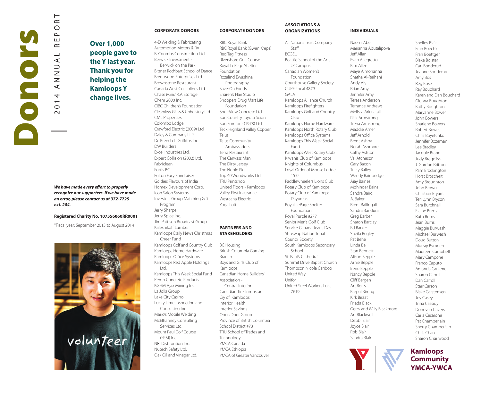

 $\vdash$  $\simeq$  $\circ$  $\sim$ Щ  $\sim$  $\overline{\phantom{0}}$  $\prec$  $\frac{1}{2}$  $\overline{z}$  $\prec$  $\overline{a}$  $\overline{\phantom{0}}$  $\circ$  $\sim$ 

**Over 1,000 people gave to the Y last year. Thank you for helping the Kamloops Y change lives.**

*We have made every effort to properly recognize our supporters. If we have made an error, please contact us at 372-7725 ext. 204.*

**Registered Charity No. 107556060RR0001**

\*Fiscal year: September 2013 to August 2014



#### **CORPORATE DONORS**

4-D Welding & Fabricating Automotion Motors & RV B. Coombs Construction Ltd. Berwick Investment - Berwick on the Park Bittner Rothbart School of Dance Brentwood Enterprises Ltd. Brownstone Restaurant Canada West Coachlines Ltd. Chase Mini/ R.V. Storage Chem 2000 Inc. CIBC Children's Foundation Clearview Glass & Upholstery Ltd. CML Properties Colombo Lodge Crawford Electric (2009) Ltd. Daley & Company LLP Dr. Brenda L. Griffiths Inc. DW Builders Excel Industries Ltd. Expert Collision (2002) Ltd. Fabriclean Fortis BC Fulton Fury Fundraiser Goldies Flavours of India Homex Development Corp. Icon Salon Systems Investors Group Matching Gift Program Jerry Sharpe Jerry Spice Inc. Jim Pattison Broadcast Group Kalesnikoff Lumber Kamloops Daily News Christmas Cheer Fund Kamloops Golf and Country Club Kamloops Home Hardware Kamloops Office Systems Kamloops Red Apple Holdings Ltd. Kamloops This Week Social Fund Kemp Concrete Products KGHM Ajax Mining Inc. La Jolla Group Lake City Casino Lucky Lime Inspection and Consulting Inc. Mario's Mobile Welding McElhanney Consulting Services Ltd.

Mount Paul Golf Course (SPM) Inc. NRI Distribution Inc. Nutech Safety Ltd. Oak Oil and Vinegar Ltd.

RBC Royal Bank RBC Royal Bank (Gwen Kreps) Red Tag Fitness Rivershore Golf Course Royal LePage Shelter Foundation Rozalind Ewashina Photography Save-On Foods Sharen's Hair Studio Shoppers Drug Mart Life Foundation Shur-View Concrete Ltd. Sun Country Toyota Scion Sun Fun Tour (1978) Ltd Teck Highland Valley Copper **Telus** Telus Community Ambassadors Terra Restaurant The Canvass Man The Dirty Jersey The Noble Pig Top 40 Woodworks Ltd TRU Printshop United Floors - Kamloops Valley First Insurance Westcana Electric Yoga Loft

**CORPORATE DONORS**

## **PARTNERS AND STAKEHOLDERS**

BC Housing British Columbia Gaming Branch Boys and Girls Club of Kamloops Canadian Home Builders' Association - Central Interior Canadian Tire Jumpstart Ciy of Kamloops Interior Health Interior Savings Open Door Group Province of British Columbia School District #73 TRU School of Trades and **Technology** YMCA Canada YMCA Ethiopia YMCA of Greater Vancouver

#### **ASSOCIATIONS & ORGANIZATIONS**

All Nations Trust Company Staff BCGEU Beattie School of the Arts - JP Campus Canadian Women's Foundation Courthouse Gallery Society CUPE Local 4879 GALA Kamloops Alliance Church Kamloops Firefighters Kamloops Golf and Country Club Kamloops Home Hardware Kamloops North Rotary Club Kamloops Office Systems Kamloops This Week Social Fund Kamloops West Rotary Club Kiwanis Club of Kamloops Knights of Columbus Loyal Order of Moose Lodge 1552 Paddlewheelers Lions Club Rotary Club of Kamloops Rotary Club of Kamloops Daybreak Royal LePage Shelter Foundation Royal Purple #277 Senior Men's Golf Club Service Canada Jeans Day Shuswap Nation Tribal Council Society South Kamloops Secondary School St. Paul's Cathedral Summit Drive Baptist Church Thompson Nicola Cariboo United Way Unifor United Steel Workers Local 7619

## **INDIVIDUALS**

Naomi Abel

Marianna Abutalipova Jeff Allan Evan Allegretto Kim Allen Maye Almohanna Shatha Al-Reihani Andy Aly Brian Amy Jennifer Amy Teresa Anderson Terrance Andrews Melissa Arkinstall Rick Armstrong Trena Armstrong Maddie Arner Jeff Arnold Brent Ashby Norah Ashmore Cathy Ashton Val Atcheson Gary Bacon Tracy Bailey Wendy Bainbridge Ajay Baines Mohinder Bains Sandra Baird A. Baker Brent Ballingall Sandra Bandura Greg Barber Sharon Barclay Ed Barker Sheila Begley Pat Behe Linda Bell Stan Bennett Alison Bepple Arnie Bepple Irene Bepple Nancy Bepple Cliff Bergen Art Betts Karpal Birring Kirk Bissat Frieda Black Gerry and Willy Blackmore Art Blackwell Debbi Blair Joyce Blair Rob Blair Sandra Blair



Shelley Blair Fran Boechler Fran Boettger Blake Bolster Carl Bonderud Joanne Bonderud Amy Bos Reg Bose Ray Bouchard Karen and Dan Bouchard Glenna Boughton Kathy Boughton Maryanne Bower John Bowers Sharlene Bowers Robert Bowes Chris Boyetchko Jennifer Bozeman Lee Bradley Jacquie Brand Judy Bregoliss J. Gordon Britton Pam Brockington Horst Broscheit Amy Broughton John Brown Christian Bryant Teri Lynn Bryson Sara Burchnall Elaine Burns Ruth Burns Jean Burris Maggie Burwash Michael Burwash Doug Button Murray Bymoen Maureen Campbell Mary Campone Franco Caputo Amanda Carkener Sharon Carrell Dan Carroll Starr Carson Blake Carstensen Joy Casey Trina Cassidy Donovan Cavers Carla Cesarone Pat Chamberlain Sherry Chamberlain Chris Chan Sharon Charlwood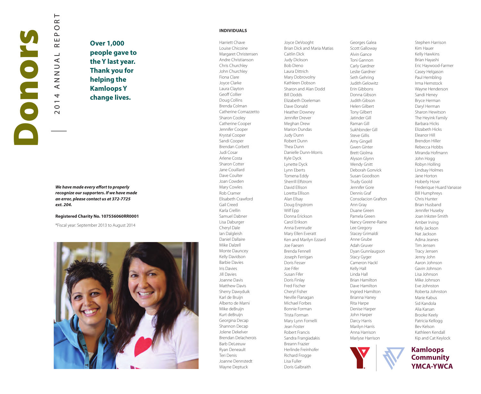

 $\prec$  $\overline{a}$  $\overline{0}$  $\sim$ 

 $\vdash$  $\simeq$  $\circ$  $\sim$ Щ  $\sim$  $\overline{4}$ 

**Over 1,000 people gave to the Y last year. Thank you for helping the Kamloops Y change lives.**

## *We have made every effort to properly recognize our supporters. If we have made an error, please contact us at 372-7725 ext. 204.*

#### **Registered Charity No. 107556060RR0001**

\*Fiscal year: September 2013 to August 2014



## **INDIVIDUALS**

Harriett Chave Louise Chicoine Margaret Christensen Andre Christianson Chris Churchley John Churchley Fiona Clare Joyce Clarke Laura Clayton Geoff Collier Doug Collins Brenda Colman Catherine Comazzetto Sharon Cooley Catherine Cooper Jennifer Cooper Krystal Cooper Sandi Cooper Brendan Corbett Judi Cosar Arlene Costa Sharon Cotter Jane Couillard Dave Coulter Joan Cowden Mary Cowles Rob Cramer Elisabeth Crawford Gail Creed Karla Crellin Samuel Dabner Lisa Daburger Cheryl Dale Ian Dalgleish Daniel Dallaire Mike Dalzell Monte Dauncey Kelly Davidson Barbie Davies Iris Davies Jill Davies Joanne Davis Matthew Davis Sherry Dawyduik Karl de Bruijn Alberto de Marni Mike deBruijn Kurt deBruijn Georgina Decap Shannon Decap Jolene Dekelver Brendan Delacherois Barb DeLeeuw Ryan Deneault Teri Denis Joanne Dennstedt Wayne Deptuck

Joyce DeVooght Brian Dick and Maria Matias Caitlin Dick Judy Dickson Bob Dieno Laura Dittrich Mary Dobrovolny Kathleen Dobson Sharon and Alan Dodd Bill Dodds Elizabeth Doeleman Dave Donald Heather Downey Jennifer Drever Meghan Drew Marion Dundas Judy Dunn Robert Dunn Thea Dunn Danielle Dunn-Morris Kyle Dyck Lynette Dyck Lynn Eberts Tomena Eddy Sherrill Elfstrom David Ellison Loretta Ellison Alan Ellsay Doug Engstrom Wilf Fpp Donna Erickson Carol Erikson Anna Evenrude Mary Ellen Everatt Ken and Marilyn Ezzard Joe Faesen Brenda Fennell Joseph Ferrigan Doris Fesser Joe Fifer Susan Fifer Doris Finlay Fred Fischer Cheryl Fisher Neville Flanagan Michael Forbes Bonnie Forman Trista Forman Mary Lynn Fornelli Jean Foster Robert Francis Sandra Frangiadakis Breann Frazier Herlinde Freinhofer Richard Frogge Lisa Fuller Doris Galbraith

Georges Galea Scott Galloway Alvin Gance Toni Gannon Carly Gardner Leslie Gardner Seth Gehring Judith Gelowitz Erin Gibbons Donna Gibson Judith Gibson Helen Gilbert Tony Gilbert Jatinder Gill Raman Gill Sukhbinder Gill Steve Gillis Amy Gingell Gwen Ginter Brett Giolma Alyson Glynn Wendy Gnitt Deborah Gonvick Susan Goodison Trudy Goold Jennifer Gore Dennis Graf Consolacion Grafton Ann Gray Duane Green Pamela Green Nancy Greene-Raine Lee Gregory Stacey Grimaldi Anne Grube Adah Gruver Dyan Gunnlaugson Stacy Gyger Cameron Hackl Kelly Hall Linda Hall Brian Hamilton Dave Hamilton Ingried Hamilton Brianna Haney Rita Harpe Denise Harper John Harper Darcy Harris Marilyn Harris Anna Harrison Marlyse Harrison



Stephen Harrison Kim Hauer Kelly Hawkins Brian Hayashi Eric Haywood-Farmer Casey Helgason Paul Hembling Irma Hemstock Wayne Henderson Sandi Heney Bryce Herman Daryl Herman Sharon Hewitson The Heyink Family Barbara Hicks Elizabeth Hicks Eleanor Hill Brendon Hiller Rebecca Hobbs Miranda Hofmann John Hogg Robyn Holling Lindsay Holmes Jane Horton Hoberly Hove Frederique Huard Vanasse Bill Humphreys Chris Hunter Brian Husband Jennifer Huseby Joan Inkster-Smith Amber Irving Kelly Jackson Nat Jackson Adina Jeanes Tim Jensen Tracy Jensen Jenny John Aaron Johnson Gavin Johnson Lisa Johnson Mike Johnson Eve Johnston Roberta Johnston Marie Kabus Sid Kandola Alia Karsan Brooke Keely Patricia Kellogg Bev Kelson Kathleen Kendall Kip and Cat Keylock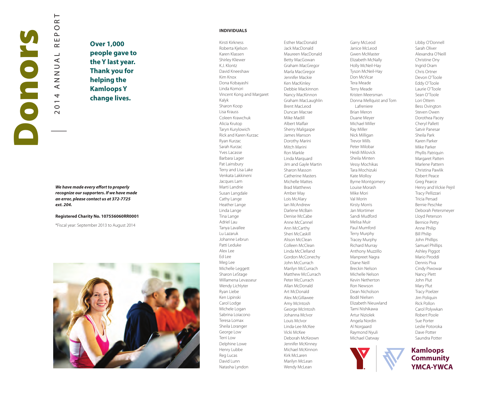

 $\prec$  $\overline{a}$  $\overline{ }$  $\circ$  $\sim$ 

 $\vdash$  $\simeq$  $\circ$  $\sim$ Щ  $\sim$  $\overline{4}$ 

**Over 1,000 people gave to the Y last year. Thank you for helping the Kamloops Y change lives.**

## *We have made every effort to properly recognize our supporters. If we have made an error, please contact us at 372-7725 ext. 204.*

#### **Registered Charity No. 107556060RR0001**

\*Fiscal year: September 2013 to August 2014



### **INDIVIDUALS**

Kirsti Kirkness Roberta Kjelson Karen Klassen Shirley Kliewer K.J. Klontz David Kneeshaw Kim Knox Dona Kobayashi Linda Komori Vincent Kong and Margaret Kalyk Sharon Koop Lisa Krauss Coleen Krawchuk Alicia Krutop Taryn Kurylowich Rick and Karen Kurzac Ryan Kurzac Sarah Kurzac Yves Lacasse Barbara Lager Pat Lainsbury Terry and Lisa Lake Venkata Lakkineni Jacques Lam Marti Landrie Susan Langdale Cathy Lange Heather Lange Linda Lange Tina Lange Adriel Lau Tanya Lavallee Lu Lazaruk Johanne Lebrun Patti Leduke Alex Lee Ed Lee Meg Lee Michelle Leggett Sharon LeStage Willamena Levasseur Wendy Lichlyter Ryan Liebe Ken Lipinski Carol Lodge Michele Logan Sabrina Loiacono Teresa Lomax Sheila Loranger George Low Terri Low Delphine Lowe Henry Lubbe Reg Lucas David Lunn Natasha Lyndon

Esther MacDonald Jack MacDonald Maureen MacDonald Betty MacGowan Graham MacGregor Marla MacGregor Jennifer Mackie Ken MacKinley Debbie Mackinnon Nancy MacKinnon Graham MacLaughlin Brent MacLeod Duncan Macrae Mike Madill Albert Malfair Sherry Maligaspe James Manson Dorothy Marini Mitch Marini Ron Markle Linda Marquard Jim and Gayle Martin Sharon Masson Catherine Masters Michelle Mattes Brad Matthews Amber May Lois McAlary Ian McAndrew Darlene McBain Denise McCabe Anne McCannel Ann McCarthy Sheri McCaskill Alison McClean Colleen McClean Linda McClelland Gordon McConechy John McCurrach Marilyn McCurrach Matthew McCurrach Peter McCurrach Allan McDonald Art McDonald Alex McGillawee Amy McIntosh George McIntosh Johanna McIvor Louis McIvor Linda-Lee McKee Vicki McKee Deborah McKeown Jennifer McKinney Michael McKinnon Kirk McLaren Marilyn McLean Wendy McLean

Garry McLeod Janice McLeod Gwen McMaster Elizabeth McNally Holly McNeil-Hay Tyson McNeil-Hay Don McVicar Tera Meade Terry Meade Kristen Meersman Donna Mellquist and Tom Lafreniere Brian Meron Duane Meyer Michael Miller Ray Miller Nick Milligan Trevor Mills Peter Milobar Heidi Milovick Sheila Minten Vessy Mochikas Tara Mochizuki Kate Molloy Byrne Montgomery Louise Morash Mike Mori Val Morin Kirsty Morris Jan Mortimer Sandi Mudford Melisa Muir Paul Mumford Terry Murphy Tracey Murphy Richard Murray Anthony Muzzillo Manpreet Nagra Diane Neill Breckin Nelson Michelle Nelson Kevin Netherton Ron Newson Dean Nicholson Bodil Nielsen Elizabeth Nieuwland Tami Nishikawa Artur Niziolek Angela Nordin Al Norgaard Raymond Nyuli Michael Oatway



Libby O'Donnell Sarah Oliver Alexandra O'Neill Christine Ony Ingrid Oram Chris Ortner Devon O'Toole Eddy O'Toole Laurie O'Toole Sean O'Toole Lori Ottem Bess Ovington Steven Owen Dorothea Pacey Cheryl Pallett Satvir Panesar Sheila Park Karen Parker Mike Parker Phyllis Patriquin Margaret Patten Marlene Pattern Christina Pawlik Robert Peace Greg Pearce Henry and Vickie Pejril Tracy Pellizzari Tricia Persad Bernie Peschke Deborah Petersmeyer Lloyd Peterson Bernice Petty Anne Philip Bill Philip John Phillips Samuel Phillips Ashley Piggot Mario Piroddi Dennis Piva Cindy Piwowar Nancy Plett John Plut Mary Plut Tracy Poelzer Jim Poliquin Rick Pollon Carol Polywkan Robert Poole Sue Porter Leslie Potoroka Dave Potter Saundra Potter